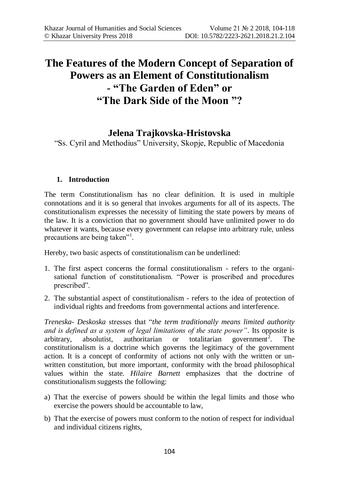# **The Features of the Modern Concept of Separation of Powers as an Element of Constitutionalism - "The Garden of Eden" or "The Dark Side of the Moon "?**

# **Jelena Trajkovska-Hristovska**

"Ss. Cyril and Methodius" University, Skopje, Republic of Macedonia

## **1. Introduction**

The term Constitutionalism has no clear definition. It is used in multiple connotations and it is so general that invokes arguments for all of its aspects. The constitutionalism expresses the necessity of limiting the state powers by means of the law. It is a conviction that no government should have unlimited power to do whatever it wants, because every government can relapse into arbitrary rule, unless precautions are being taken"<sup>1</sup>.

Hereby, two basic aspects of constitutionalism can be underlined:

- 1. The first aspect concerns the formal constitutionalism refers to the organisational function of constitutionalism. "Power is proscribed and procedures prescribed".
- 2. The substantial aspect of constitutionalism refers to the idea of protection of individual rights and freedoms from governmental actions and interference.

*Treneska*- *Deskoska* stresses that "*the term traditionally means limited authority and is defined as a system of legal limitations of the state power"*. Its opposite is  $arbitrary$ , absolutist, authoritarian or totalitarian government<sup>2</sup>. . The constitutionalism is a doctrine which governs the legitimacy of the government action. It is a concept of conformity of actions not only with the written or unwritten constitution, but more important, conformity with the broad philosophical values within the state. *Hilaire Barnett* emphasizes that the doctrine of constitutionalism suggests the following:

- a) That the exercise of powers should be within the legal limits and those who exercise the powers should be accountable to law,
- b) That the exercise of powers must conform to the notion of respect for individual and individual citizens rights,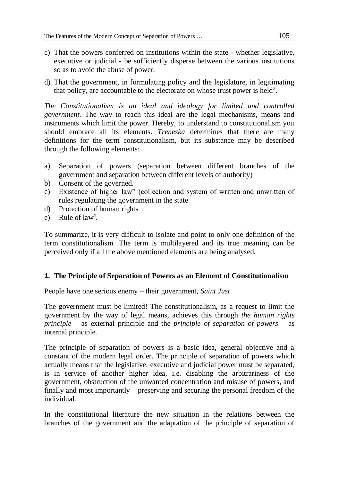- c) That the powers conferred on institutions within the state whether legislative, executive or judicial - be sufficiently disperse between the various institutions so as to avoid the abuse of power.
- d) That the government, in formulating policy and the legislature, in legitimating that policy, are accountable to the electorate on whose trust power is held<sup>3</sup>.

*The Constitutionalism is an ideal and ideology for limited and controlled government.* The way to reach this ideal are the legal mechanisms, means and instruments which limit the power. Hereby, to understand to constitutionalism you should embrace all its elements. *Treneska* determines that there are many definitions for the term constitutionalism, but its substance may be described through the following elements:

- a) Separation of powers (separation between different branches of the government and separation between different levels of authority)
- b) Consent of the governed.
- c) Existence of higher law" (collection and system of written and unwritten of rules regulating the government in the state
- d) Protection of human rights
- e) Rule of  $law<sup>4</sup>$ .

To summarize, it is very difficult to isolate and point to only one definition of the term constitutionalism. The term is multilayered and its true meaning can be perceived only if all the above mentioned elements are being analysed.

#### **1. The Principle of Separation of Powers as an Element of Constitutionalism**

People have one serious enemy – their government, *Saint Just*

The government must be limited! The constitutionalism, as a request to limit the government by the way of legal means, achieves this through *the human rights principle* – as external principle and the *principle of separation of powers* – as internal principle.

The principle of separation of powers is a basic idea, general objective and a constant of the modern legal order. The principle of separation of powers which actually means that the legislative, executive and judicial power must be separated, is in service of another higher idea, i.e. disabling the arbitrariness of the government, obstruction of the unwanted concentration and misuse of powers, and finally and most importantly – preserving and securing the personal freedom of the individual.

In the constitutional literature the new situation in the relations between the branches of the government and the adaptation of the principle of separation of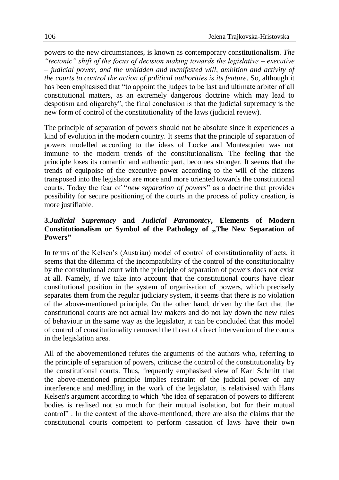powers to the new circumstances, is known as contemporary constitutionalism. *The "tectonic" shift of the focus of decision making towards the legislative – executive – judicial power, and the unhidden and manifested will, ambition and activity of the courts to control the action of political authorities is its feature*. So, although it has been emphasised that "to appoint the judges to be last and ultimate arbiter of all constitutional matters, as an extremely dangerous doctrine which may lead to despotism and oligarchy", the final conclusion is that the judicial supremacy is the new form of control of the constitutionality of the laws (judicial review).

The principle of separation of powers should not be absolute since it experiences a kind of evolution in the modern country. It seems that the principle of separation of powers modelled according to the ideas of Locke and Montesquieu was not immune to the modern trends of the constitutionalism. The feeling that the principle loses its romantic and authentic part, becomes stronger. It seems that the trends of equipoise of the executive power according to the will of the citizens transposed into the legislator are more and more oriented towards the constitutional courts. Today the fear of "*new separation of powers*" as a doctrine that provides possibility for secure positioning of the courts in the process of policy creation, is more justifiable.

## **3.***Judicial Supremacy* **and** *Judicial Paramontcy***, Elements of Modern Constitutionalism or Symbol of the Pathology of ,,The New Separation of Powers"**

In terms of the Kelsen's (Austrian) model of control of constitutionality of acts, it seems that the dilemma of the incompatibility of the control of the constitutionality by the constitutional court with the principle of separation of powers does not exist at all. Namely, if we take into account that the constitutional courts have clear constitutional position in the system of organisation of powers, which precisely separates them from the regular judiciary system, it seems that there is no violation of the above-mentioned principle. On the other hand, driven by the fact that the constitutional courts are not actual law makers and do not lay down the new rules of behaviour in the same way as the legislator, it can be concluded that this model of control of constitutionality removed the threat of direct intervention of the courts in the legislation area.

All of the abovementioned refutes the arguments of the authors who, referring to the principle of separation of powers, criticise the control of the constitutionality by the constitutional courts. Thus, frequently emphasised view of Karl Schmitt that the above-mentioned principle implies restraint of the judicial power of any interference and meddling in the work of the legislator, is relativised with Hans Kelsen's argument according to which "the idea of separation of powers to different bodies is realised not so much for their mutual isolation, but for their mutual control" . In the context of the above-mentioned, there are also the claims that the constitutional courts competent to perform cassation of laws have their own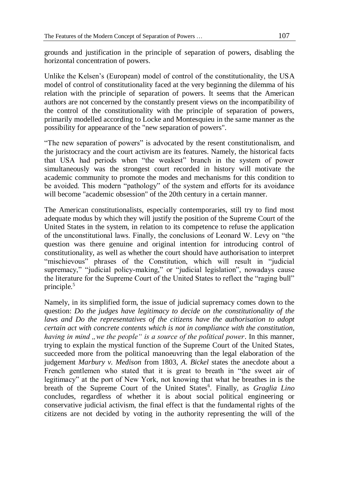grounds and justification in the principle of separation of powers, disabling the horizontal concentration of powers.

Unlike the Kelsen's (European) model of control of the constitutionality, the USA model of control of constitutionality faced at the very beginning the dilemma of his relation with the principle of separation of powers. It seems that the American authors are not concerned by the constantly present views on the incompatibility of the control of the constitutionality with the principle of separation of powers, primarily modelled according to Locke and Montesquieu in the same manner as the possibility for appearance of the "new separation of powers".

"The new separation of powers" is advocated by the resent constitutionalism, and the juristocracy and the court activism are its features. Namely, the historical facts that USA had periods when "the weakest" branch in the system of power simultaneously was the strongest court recorded in history will motivate the academic community to promote the modes and mechanisms for this condition to be avoided. This modern "pathology" of the system and efforts for its avoidance will become "academic obsession" of the 20th century in a certain manner.

The American constitutionalists, especially contemporaries, still try to find most adequate modus by which they will justify the position of the Supreme Court of the United States in the system, in relation to its competence to refuse the application of the unconstitutional laws. Finally, the conclusions of Leonard W. Levy on "the question was there genuine and original intention for introducing control of constitutionality, as well as whether the court should have authorisation to interpret "mischievous" phrases of the Constitution, which will result in "judicial supremacy," "judicial policy-making," or "judicial legislation", nowadays cause the literature for the Supreme Court of the United States to reflect the "raging bull" principle.<sup>5</sup>

Namely, in its simplified form, the issue of judicial supremacy comes down to the question: *Do the judges have legitimacy to decide on the constitutionality of the*  laws and Do the representatives of the citizens have the authorisation to adopt *certain act with concrete contents which is not in compliance with the constitution, having in mind "we the people" is a source of the political power*. In this manner, trying to explain the mystical function of the Supreme Court of the United States, succeeded more from the political manoeuvring than the legal elaboration of the judgement *Marbury v. Medison* from 1803, *A*. *Bickel* states the anecdote about a French gentlemen who stated that it is great to breath in "the sweet air of legitimacy" at the port of New York, not knowing that what he breathes in is the breath of the Supreme Court of the United States<sup>6</sup>. Finally, as *Graglia Lino* concludes, regardless of whether it is about social political engineering or conservative judicial activism, the final effect is that the fundamental rights of the citizens are not decided by voting in the authority representing the will of the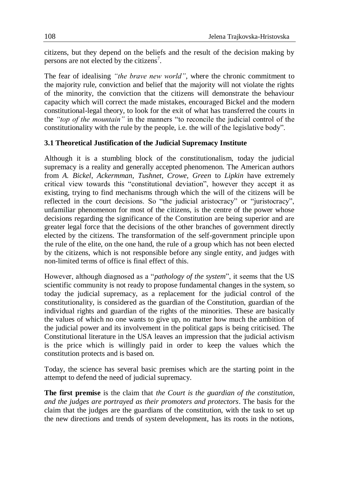citizens, but they depend on the beliefs and the result of the decision making by persons are not elected by the citizens<sup>7</sup>.

The fear of idealising *"the brave new world"*, where the chronic commitment to the majority rule, conviction and belief that the majority will not violate the rights of the minority, the conviction that the citizens will demonstrate the behaviour capacity which will correct the made mistakes, encouraged Bickel and the modern constitutional-legal theory, to look for the exit of what has transferred the courts in the *"top of the mountain"* in the manners "to reconcile the judicial control of the constitutionality with the rule by the people, i.e. the will of the legislative body".

#### **3.1 Theoretical Justification of the Judicial Supremacy Institute**

Although it is a stumbling block of the constitutionalism, today the judicial supremacy is a reality and generally accepted phenomenon. The American authors from *A. Bickel*, *Ackermman*, *Tushnet*, *Crowe, Green* to *Lipkin* have extremely critical view towards this "constitutional deviation", however they accept it as existing, trying to find mechanisms through which the will of the citizens will be reflected in the court decisions. So "the judicial aristocracy" or "juristocracy", unfamiliar phenomenon for most of the citizens, is the centre of the power whose decisions regarding the significance of the Constitution are being superior and are greater legal force that the decisions of the other branches of government directly elected by the citizens. The transformation of the self-government principle upon the rule of the elite, on the one hand, the rule of a group which has not been elected by the citizens, which is not responsible before any single entity, and judges with non-limited terms of office is final effect of this.

However, although diagnosed as a "*pathology of the system*", it seems that the US scientific community is not ready to propose fundamental changes in the system, so today the judicial supremacy, as a replacement for the judicial control of the constitutionality, is considered as the guardian of the Constitution, guardian of the individual rights and guardian of the rights of the minorities. These are basically the values of which no one wants to give up, no matter how much the ambition of the judicial power and its involvement in the political gaps is being criticised. The Constitutional literature in the USA leaves an impression that the judicial activism is the price which is willingly paid in order to keep the values which the constitution protects and is based on.

Today, the science has several basic premises which are the starting point in the attempt to defend the need of judicial supremacy.

**The first premise** is the claim that *the Court is the guardian of the constitution, and the judges are portrayed as their promoters and protectors*. The basis for the claim that the judges are the guardians of the constitution, with the task to set up the new directions and trends of system development, has its roots in the notions,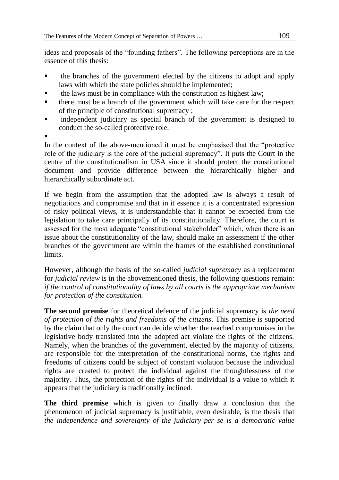ideas and proposals of the "founding fathers". The following perceptions are in the essence of this thesis:

- the branches of the government elected by the citizens to adopt and apply laws with which the state policies should be implemented;
- the laws must be in compliance with the constitution as highest law;
- $\blacksquare$  there must be a branch of the government which will take care for the respect of the principle of constitutional supremacy ;
- independent judiciary as special branch of the government is designed to conduct the so-called protective role.
- .

In the context of the above-mentioned it must be emphasised that the "protective role of the judiciary is the core of the judicial supremacy". It puts the Court in the centre of the constitutionalism in USA since it should protect the constitutional document and provide difference between the hierarchically higher and hierarchically subordinate act.

If we begin from the assumption that the adopted law is always a result of negotiations and compromise and that in it essence it is a concentrated expression of risky political views, it is understandable that it cannot be expected from the legislation to take care principally of its constitutionality. Therefore, the court is assessed for the most adequate "constitutional stakeholder" which, when there is an issue about the constitutionality of the law, should make an assessment if the other branches of the government are within the frames of the established constitutional limits.

However, although the basis of the so-called *judicial supremacy* as a replacement for *judicial review* is in the abovementioned thesis, the following questions remain: *if the control of constitutionality of laws by all courts is the appropriate mechanism for protection of the constitution.* 

**The second premise** for theoretical defence of the judicial supremacy is *the need of protection of the rights and freedoms of the citizens*. This premise is supported by the claim that only the court can decide whether the reached compromises in the legislative body translated into the adopted act violate the rights of the citizens. Namely, when the branches of the government, elected by the majority of citizens, are responsible for the interpretation of the constitutional norms, the rights and freedoms of citizens could be subject of constant violation because the individual rights are created to protect the individual against the thoughtlessness of the majority. Thus, the protection of the rights of the individual is a value to which it appears that the judiciary is traditionally inclined.

**The third premise** which is given to finally draw a conclusion that the phenomenon of judicial supremacy is justifiable, even desirable, is the thesis that *the independence and sovereignty of the judiciary per se is a democratic value*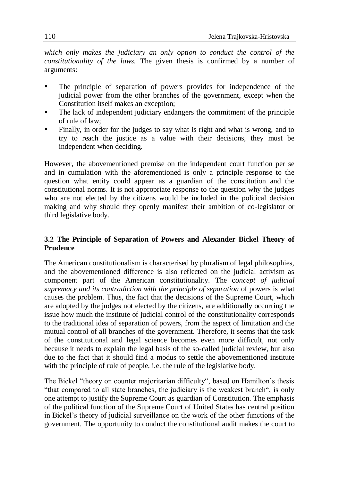*which only makes the judiciary an only option to conduct the control of the constitutionality of the laws.* The given thesis is confirmed by a number of arguments:

- The principle of separation of powers provides for independence of the judicial power from the other branches of the government, except when the Constitution itself makes an exception;
- The lack of independent judiciary endangers the commitment of the principle of rule of law;
- Finally, in order for the judges to say what is right and what is wrong, and to try to reach the justice as a value with their decisions, they must be independent when deciding.

However, the abovementioned premise on the independent court function per se and in cumulation with the aforementioned is only a principle response to the question what entity could appear as a guardian of the constitution and the constitutional norms. It is not appropriate response to the question why the judges who are not elected by the citizens would be included in the political decision making and why should they openly manifest their ambition of co-legislator or third legislative body.

## **3.2 The Principle of Separation of Powers and Alexander Bickel Theory of Prudence**

The American constitutionalism is characterised by pluralism of legal philosophies, and the abovementioned difference is also reflected on the judicial activism as component part of the American constitutionality. The c*oncept of judicial supremacy and its contradiction with the principle of separation* of powers is what causes the problem. Thus, the fact that the decisions of the Supreme Court, which are adopted by the judges not elected by the citizens, are additionally occurring the issue how much the institute of judicial control of the constitutionality corresponds to the traditional idea of separation of powers, from the aspect of limitation and the mutual control of all branches of the government. Therefore, it seems that the task of the constitutional and legal science becomes even more difficult, not only because it needs to explain the legal basis of the so-called judicial review, but also due to the fact that it should find a modus to settle the abovementioned institute with the principle of rule of people, i.e. the rule of the legislative body.

The Bickel "theory on counter majoritarian difficulty", based on Hamilton's thesis "that compared to all state branches, the judiciary is the weakest branch", is only one attempt to justify the Supreme Court as guardian of Constitution. The emphasis of the political function of the Supreme Court of United States has central position in Bickel's theory of judicial surveillance on the work of the other functions of the government. The opportunity to conduct the constitutional audit makes the court to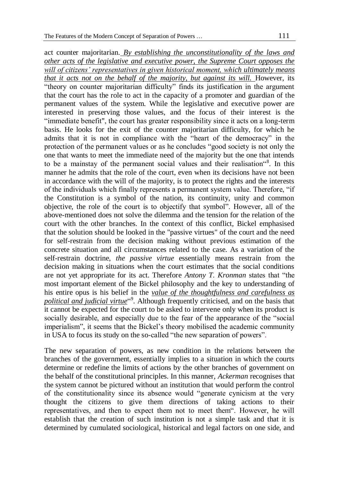act counter majoritarian. *By establishing the unconstitutionality of the laws and other acts of the legislative and executive power, the Supreme Court opposes the will of citizens' representatives in given historical moment, which ultimately means that it acts not on the behalf of the majority, but against its will. However, its* "theory on counter majoritarian difficulty" finds its justification in the argument that the court has the role to act in the capacity of a promoter and guardian of the permanent values of the system. While the legislative and executive power are interested in preserving those values, and the focus of their interest is the "immediate benefit", the court has greater responsibility since it acts on a long-term basis. He looks for the exit of the counter majoritarian difficulty, for which he admits that it is not in compliance with the "heart of the democracy" in the protection of the permanent values or as he concludes "good society is not only the one that wants to meet the immediate need of the majority but the one that intends to be a mainstay of the permanent social values and their realisation"<sup>8</sup>. In this manner he admits that the role of the court, even when its decisions have not been in accordance with the will of the majority, is to protect the rights and the interests of the individuals which finally represents a permanent system value. Therefore, "if the Constitution is a symbol of the nation, its continuity, unity and common objective, the role of the court is to objectify that symbol". However, all of the

above-mentioned does not solve the dilemma and the tension for the relation of the court with the other branches. In the context of this conflict, Bickel emphasised that the solution should be looked in the "passive virtues" of the court and the need for self-restrain from the decision making without previous estimation of the concrete situation and all circumstances related to the case. As a variation of the self-restrain doctrine, *the passive virtue* essentially means restrain from the decision making in situations when the court estimates that the social conditions are not yet appropriate for its act. Therefore *Antony T. Kronman* states that "the most important element of the Bickel philosophy and the key to understanding of his entire opus is his belief in the *value of the thoughtfulness and carefulness as political and judicial virtue*" 9 . Although frequently criticised, and on the basis that it cannot be expected for the court to be asked to intervene only when its product is socially desirable, and especially due to the fear of the appearance of the "social imperialism", it seems that the Bickel's theory mobilised the academic community in USA to focus its study on the so-called "the new separation of powers".

The new separation of powers, as new condition in the relations between the branches of the government, essentially implies to a situation in which the courts determine or redefine the limits of actions by the other branches of government on the behalf of the constitutional principles. In this manner, *Ackerman* recognises that the system cannot be pictured without an institution that would perform the control of the constitutionality since its absence would "generate cynicism at the very thought the citizens to give them directions of taking actions to their representatives, and then to expect them not to meet them". However, he will establish that the creation of such institution is not a simple task and that it is determined by cumulated sociological, historical and legal factors on one side, and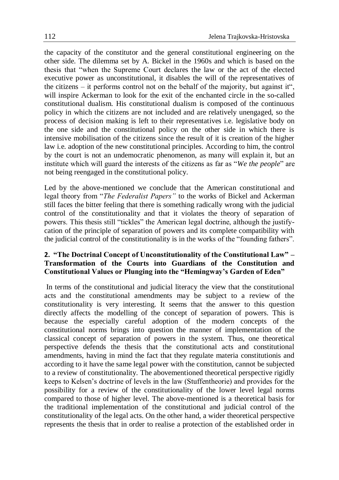the capacity of the constitutor and the general constitutional engineering on the other side. The dilemma set by A. Bickel in the 1960s and which is based on the thesis that "when the Supreme Court declares the law or the act of the elected executive power as unconstitutional, it disables the will of the representatives of the citizens – it performs control not on the behalf of the majority, but against it", will inspire Ackerman to look for the exit of the enchanted circle in the so-called constitutional dualism. His constitutional dualism is composed of the continuous policy in which the citizens are not included and are relatively unengaged, so the process of decision making is left to their representatives i.e. legislative body on the one side and the constitutional policy on the other side in which there is intensive mobilisation of the citizens since the result of it is creation of the higher law i.e. adoption of the new constitutional principles. According to him, the control by the court is not an undemocratic phenomenon, as many will explain it, but an institute which will guard the interests of the citizens as far as "*We the people*" are not being reengaged in the constitutional policy.

Led by the above-mentioned we conclude that the American constitutional and legal theory from "*The Federalist Papers"* to the works of Bickel and Ackerman still faces the bitter feeling that there is something radically wrong with the judicial control of the constitutionality and that it violates the theory of separation of powers. This thesis still "tickles" the American legal doctrine, although the justifycation of the principle of separation of powers and its complete compatibility with the judicial control of the constitutionality is in the works of the "founding fathers".

## **2. "The Doctrinal Concept of Unconstitutionality of the Constitutional Law" – Transformation of the Courts into Guardians of the Constitution and Constitutional Values or Plunging into the "Hemingway's Garden of Eden"**

In terms of the constitutional and judicial literacy the view that the constitutional acts and the constitutional amendments may be subject to a review of the constitutionality is very interesting. It seems that the answer to this question directly affects the modelling of the concept of separation of powers. This is because the especially careful adoption of the modern concepts of the constitutional norms brings into question the manner of implementation of the classical concept of separation of powers in the system. Thus, one theoretical perspective defends the thesis that the constitutional acts and constitutional amendments, having in mind the fact that they regulate materia constitutionis and according to it have the same legal power with the constitution, cannot be subjected to a review of constitutionality. The abovementioned theoretical perspective rigidly keeps to Kelsen's doctrine of levels in the law (Stuffentheorie) and provides for the possibility for a review of the constitutionality of the lower level legal norms compared to those of higher level. The above-mentioned is a theoretical basis for the traditional implementation of the constitutional and judicial control of the constitutionality of the legal acts. On the other hand, a wider theoretical perspective represents the thesis that in order to realise a protection of the established order in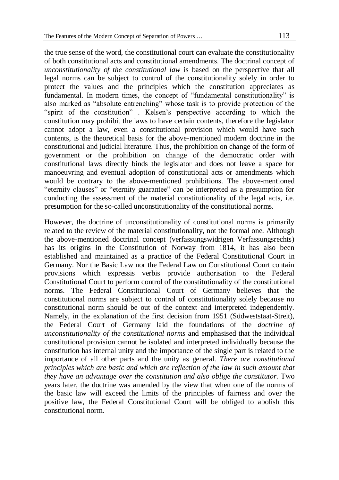the true sense of the word, the constitutional court can evaluate the constitutionality of both constitutional acts and constitutional amendments. The doctrinal concept of *unconstitutionality of the constitutional law* is based on the perspective that all legal norms can be subject to control of the constitutionality solely in order to protect the values and the principles which the constitution appreciates as fundamental. In modern times, the concept of "fundamental constitutionality" is also marked as "absolute entrenching" whose task is to provide protection of the "spirit of the constitution" . Kelsen's perspective according to which the constitution may prohibit the laws to have certain contents, therefore the legislator cannot adopt a law, even a constitutional provision which would have such contents, is the theoretical basis for the above-mentioned modern doctrine in the constitutional and judicial literature. Thus, the prohibition on change of the form of government or the prohibition on change of the democratic order with constitutional laws directly binds the legislator and does not leave a space for manoeuvring and eventual adoption of constitutional acts or amendments which would be contrary to the above-mentioned prohibitions. The above-mentioned "eternity clauses" or "eternity guarantee" can be interpreted as a presumption for conducting the assessment of the material constitutionality of the legal acts, i.e. presumption for the so-called unconstitutionality of the constitutional norms.

However, the doctrine of unconstitutionality of constitutional norms is primarily related to the review of the material constitutionality, not the formal one. Although the above-mentioned doctrinal concept (verfassungswidrigen Verfassungsrechts) has its origins in the Constitution of Norway from 1814, it has also been established and maintained as a practice of the Federal Constitutional Court in Germany. Nor the Basic Law nor the Federal Law on Constitutional Court contain provisions which expressis verbis provide authorisation to the Federal Constitutional Court to perform control of the constitutionality of the constitutional norms. The Federal Constitutional Court of Germany believes that the constitutional norms are subject to control of constitutionality solely because no constitutional norm should be out of the context and interpreted independently. Namely, in the explanation of the first decision from 1951 (Südweststaat-Streit), the Federal Court of Germany laid the foundations of the *doctrine of unconstitutionality of the constitutional norms* and emphasised that the individual constitutional provision cannot be isolated and interpreted individually because the constitution has internal unity and the importance of the single part is related to the importance of all other parts and the unity as general. *There are constitutional principles which are basic and which are reflection of the law in such amount that they have an advantage over the constitution and also oblige the constitutor.* Two years later, the doctrine was amended by the view that when one of the norms of the basic law will exceed the limits of the principles of fairness and over the positive law, the Federal Constitutional Court will be obliged to abolish this constitutional norm.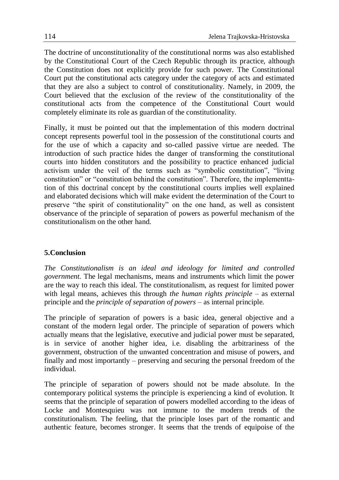The doctrine of unconstitutionality of the constitutional norms was also established by the Constitutional Court of the Czech Republic through its practice, although the Constitution does not explicitly provide for such power. The Constitutional Court put the constitutional acts category under the category of acts and estimated that they are also a subject to control of constitutionality. Namely, in 2009, the Court believed that the exclusion of the review of the constitutionality of the constitutional acts from the competence of the Constitutional Court would completely eliminate its role as guardian of the constitutionality.

Finally, it must be pointed out that the implementation of this modern doctrinal concept represents powerful tool in the possession of the constitutional courts and for the use of which a capacity and so-called passive virtue are needed. The introduction of such practice hides the danger of transforming the constitutional courts into hidden constitutors and the possibility to practice enhanced judicial activism under the veil of the terms such as "symbolic constitution", "living constitution" or "constitution behind the constitution". Therefore, the implementtation of this doctrinal concept by the constitutional courts implies well explained and elaborated decisions which will make evident the determination of the Court to preserve "the spirit of constitutionality" on the one hand, as well as consistent observance of the principle of separation of powers as powerful mechanism of the constitutionalism on the other hand.

# **5.Conclusion**

*The Constitutionalism is an ideal and ideology for limited and controlled government.* The legal mechanisms, means and instruments which limit the power are the way to reach this ideal. The constitutionalism, as request for limited power with legal means, achieves this through *the human rights principle* – as external principle and the *principle of separation of powers* – as internal principle.

The principle of separation of powers is a basic idea, general objective and a constant of the modern legal order. The principle of separation of powers which actually means that the legislative, executive and judicial power must be separated, is in service of another higher idea, i.e. disabling the arbitrariness of the government, obstruction of the unwanted concentration and misuse of powers, and finally and most importantly – preserving and securing the personal freedom of the individual.

The principle of separation of powers should not be made absolute. In the contemporary political systems the principle is experiencing a kind of evolution. It seems that the principle of separation of powers modelled according to the ideas of Locke and Montesquieu was not immune to the modern trends of the constitutionalism. The feeling, that the principle loses part of the romantic and authentic feature, becomes stronger. It seems that the trends of equipoise of the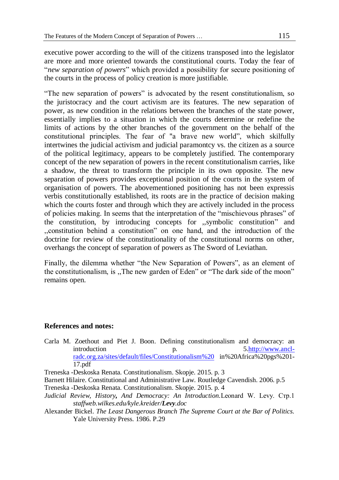executive power according to the will of the citizens transposed into the legislator are more and more oriented towards the constitutional courts. Today the fear of "*new separation of powers*" which provided a possibility for secure positioning of the courts in the process of policy creation is more justifiable.

"The new separation of powers" is advocated by the resent constitutionalism, so the juristocracy and the court activism are its features. The new separation of power, as new condition in the relations between the branches of the state power, essentially implies to a situation in which the courts determine or redefine the limits of actions by the other branches of the government on the behalf of the constitutional principles. The fear of "a brave new world", which skilfully intertwines the judicial activism and judicial paramontcy vs. the citizen as a source of the political legitimacy, appears to be completely justified. The contemporary concept of the new separation of powers in the recent constitutionalism carries, like a shadow, the threat to transform the principle in its own opposite. The new separation of powers provides exceptional position of the courts in the system of organisation of powers. The abovementioned positioning has not been expressis verbis constitutionally established, its roots are in the practice of decision making which the courts foster and through which they are actively included in the process of policies making. In seems that the interpretation of the "mischievous phrases" of the constitution, by introducing concepts for ,,symbolic constitution" and ,,constitution behind a constitution" on one hand, and the introduction of the doctrine for review of the constitutionality of the constitutional norms on other, overhangs the concept of separation of powers as The Sword of Leviathan.

Finally, the dilemma whether "the New Separation of Powers", as an element of the constitutionalism, is ,,The new garden of Eden" or "The dark side of the moon" remains open.

#### **References and notes:**

Carla M. Zoethout and Piet J. Boon. Defining constitutionalism and democracy: an introduction p. [5.http://www.ancl](http://www.ancl-radc.org.za/sites/default/files/Constitutionalism)[radc.org.za/sites/default/files/Constitutionalism%20](http://www.ancl-radc.org.za/sites/default/files/Constitutionalism) in%20Africa%20pgs%201- 17.pdf

Treneska -Deskoska Renata. Constitutionalism. Skopje. 2015. p. 3

Barnett Hilaire. Constitutional and Administrative Law. Routledge Cavendish. 2006. p.5 Treneska -Deskoska Renata. Constitutionalism. Skopje. 2015. p. 4

- *Judicial Review, History, And Democracy: An Introduction.*Leonard W. Levy. Стр.1 *staffweb.wilkes.edu/kyle.kreider/Levy.doc*
- Alexander Bickel. *The Least Dangerous Branch The Supreme Court at the Bar of Politics.* Yale University Press. 1986. P.29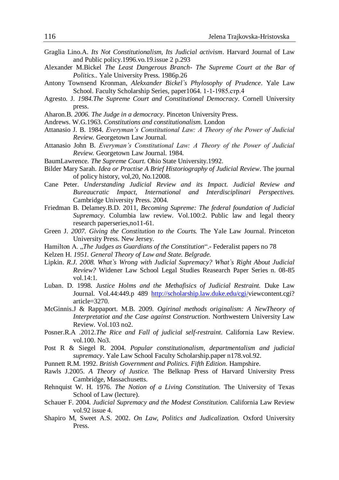- Graglia Lino.A. *Its Not Constitutionalism, Its Judicial activism*. Harvard Journal of Law and Public policy.1996.vo.19.issue 2 p.293
- Alexander M.Bickel *The Least Dangerous Branch- The Supreme Court at the Bar of Politics*.. Yale University Press. 1986p.26
- Antony Townsend Kronman, *Alekxander Bickel`s Phylosophy of Prudence*. Yale Law School. Faculty Scholarship Series, paper1064. 1-1-1985.стр.4
- Agresto. J. *1984.The Supreme Court and Constitutional Democracy*. Cornell University press.
- Aharon.B. *2006. The Judge in a democracy*. Pinceton University Press.
- Andrews. W.G.1963. *Constitutions and constitutionalism.* London
- Attanasio J. B. 1984. *Everyman's Constitutional Law: A Theory of the Power of Judicial Review.* Georgetown Law Journal.
- Attanasio John B. *Everyman's Constitutional Law: A Theory of the Power of Judicial Review.* Georgetown Law Journal. 1984.
- BaumLawrence. *The Supreme Court*. Ohio State University.1992.
- Bilder Mary Sarah. *Idea or Practise A Brief Historiography of Judicial Review*. The journal of policy history, vol,20, No.12008.
- Cane Peter. *Understanding Judicial Review and its Impact. Judicial Review and Bureaucratic Impact, International and Interdisciplinari Perspectives.*  Cambridge University Press. 2004.
- Friedman B. Delamey.B.D. 2011, *Becoming Supreme: The federal foundation of Judicial Supremacy*. Columbia law review. Vol.100:2. Public law and legal theory research paperseries,no11-61.
- Green J. *2007. Giving the Constitution to the Courts.* The Yale Law Journal. Princeton University Press. New Jersey.
- Hamilton A. "*The Judges as Guardians of the Constitution*".- Federalist papers no 78
- Kelzen H. *1951. General Theory of Law and State. Belgrade.*
- Lipkin. *R.J. 2008. What`s Wrong with Judicial Supremacy? What`s Right About Judicial Review?* Widener Law School Legal Studies Reasearch Paper Series n. 08-85 vol.14:1.
- Luban. D. 1998. *Justice Holms and the Methafisics of Judicial Restraint.* Duke Law Journal. Vol.44:449.p 489 [http://scholarship.law.duke.edu/cgi/v](http://scholarship.law.duke.edu/cgi/)iewcontent.cgi? article=3270.
- McGinnis.J & Rappaport. M.B. 2009. *Ogirinal methods originalism: A NewTheory of Interpretatiot and the Case against Construction*. Northwestern University Law Review. Vol.103 no2.
- Posner.R.A .2012.*The Rice and Fall of judicial self-restraint*. California Law Review. vol.100. No3.
- Post R & Siegel R. 2004. *Popular constitutionalism, departmentalism and judicial supremacy*. Yale Law School Faculty Scholarship.paper n178.vol.92.
- Punnett R.M. 1992. *British Government and Politics. Fifth Edition*. Hampshire.
- Rawls J.2005. *A Theory of Justice.* The Belknap Press of Harvard University Press Cambridge, Massachusetts.
- Rehnquist W. H. 1976. *The Notion of a Living Constitution.* The University of Texas School of Law (lecture).
- Schauer F. 2004. *Judicial Supremacy and the Modest Constitution.* California Law Review vol.92 issue 4.
- Shapiro M, Sweet A.S. 2002. *On Law, Politics and Judicalization.* Oxford University Press.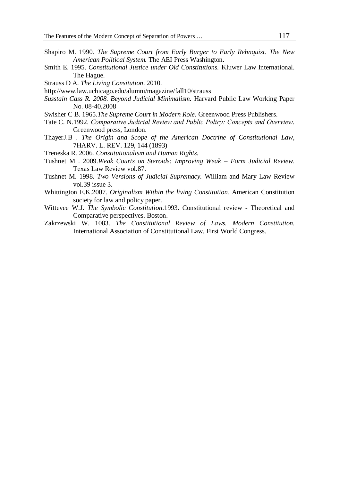- Shapiro M. 1990. *The Supreme Court from Early Burger to Early Rehnquist. The New American Political System.* The AEI Press Washington.
- Smith E. 1995. *Constitutional Justice under Old Constitutions.* Kluwer Law International. The Hague.
- Strauss D A. *The Living Consitution*. 2010.
- http://www.law.uchicago.edu/alumni/magazine/fall10/strauss
- *Susstain Cass R. 2008. Beyond Judicial Minimalism.* Harvard Public Law Working Paper No. 08-40.2008
- Swisher C B. 1965.*The Supreme Court in Modern Role.* Greenwood Press Publishers.
- Tate C. N.1992. *Comparative Јudicial Review and Public Policy: Concepts and Overview*. Greenwood press, London.
- ThayerJ.B . *The Origin and Scope of the American Doctrine of Constitutional Law*, 7HARV. L. REV. 129, 144 (1893)
- Treneska R. 2006. *Constitutionalism and Human Rights*.
- Tushnet M . 2009.*Weak Courts on Steroids: Improving Weak – Form Judicial Review.*  Texas Law Review vol.87.
- Tushnet M. 1998. *Two Versions of Judicial Supremacy.* William and Mary Law Review vol.39 issue 3.
- Whittington E.K.2007. *Originalism Within the living Constitution.* American Constitution society for law and policy paper.
- Wittevee W.J. *The Symbolic Constitution*.1993. Constitutional review Theoretical and Comparative perspectives. Boston.
- Zakrzewski W. 1083. *The Constitutional Review of Laws. Modern Constitution.*  International Association of Constitutional Law. First World Congress.